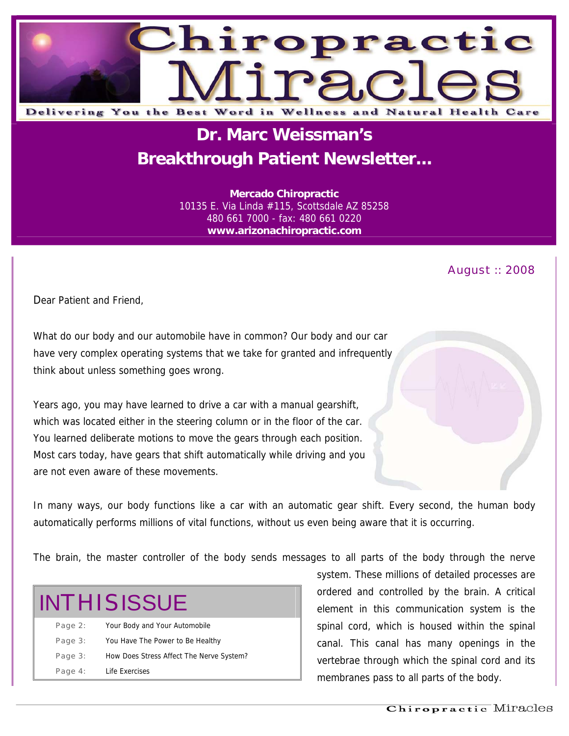

# **Dr. Marc Weissman's Breakthrough Patient Newsletter...**

**Mercado Chiropractic**  10135 E. Via Linda #115, Scottsdale AZ 85258 480 661 7000 - fax: 480 661 0220 **www.arizonachiropractic.com**

#### August :: 2008

Dear Patient and Friend,

What do our body and our automobile have in common? Our body and our car have very complex operating systems that we take for granted and infrequently think about unless something goes wrong.

Years ago, you may have learned to drive a car with a manual gearshift, which was located either in the steering column or in the floor of the car. You learned deliberate motions to move the gears through each position. Most cars today, have gears that shift automatically while driving and you are not even aware of these movements.

In many ways, our body functions like a car with an automatic gear shift. Every second, the human body automatically performs millions of vital functions, without us even being aware that it is occurring.

The brain, the master controller of the body sends messages to all parts of the body through the nerve

| <b>INTHISISSUE</b> |                                          |
|--------------------|------------------------------------------|
| Page 2:            | Your Body and Your Automobile            |
| Page 3:            | You Have The Power to Be Healthy         |
| Page 3:            | How Does Stress Affect The Nerve System? |
| Page 4:            | Life Exercises                           |

system. These millions of detailed processes are ordered and controlled by the brain. A critical element in this communication system is the spinal cord, which is housed within the spinal canal. This canal has many openings in the vertebrae through which the spinal cord and its membranes pass to all parts of the body.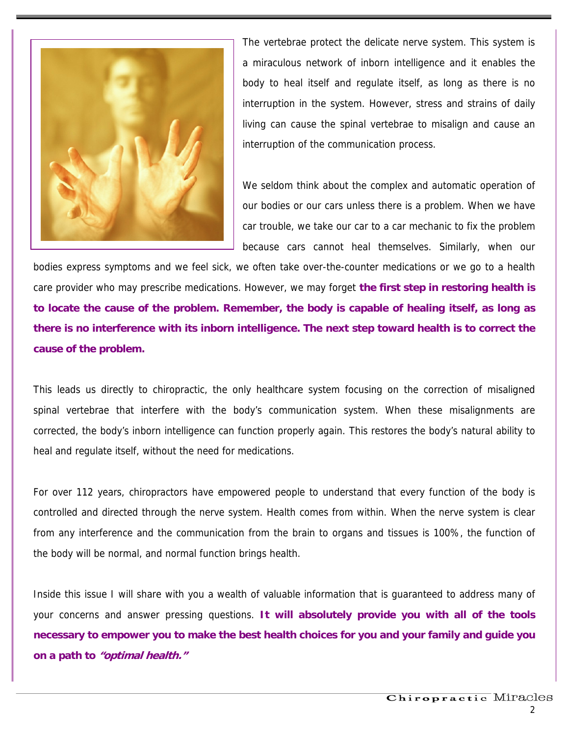

The vertebrae protect the delicate nerve system. This system is a miraculous network of inborn intelligence and it enables the body to heal itself and regulate itself, as long as there is no interruption in the system. However, stress and strains of daily living can cause the spinal vertebrae to misalign and cause an interruption of the communication process.

We seldom think about the complex and automatic operation of our bodies or our cars unless there is a problem. When we have car trouble, we take our car to a car mechanic to fix the problem because cars cannot heal themselves. Similarly, when our

bodies express symptoms and we feel sick, we often take over-the-counter medications or we go to a health care provider who may prescribe medications. However, we may forget **the first step in restoring health is to locate the cause of the problem. Remember, the body is capable of healing itself, as long as there is no interference with its inborn intelligence. The next step toward health is to correct the cause of the problem.**

This leads us directly to chiropractic, the only healthcare system focusing on the correction of misaligned spinal vertebrae that interfere with the body's communication system. When these misalignments are corrected, the body's inborn intelligence can function properly again. This restores the body's natural ability to heal and regulate itself, without the need for medications.

For over 112 years, chiropractors have empowered people to understand that every function of the body is controlled and directed through the nerve system. Health comes from within. When the nerve system is clear from any interference and the communication from the brain to organs and tissues is 100%, the function of the body will be normal, and normal function brings health.

Inside this issue I will share with you a wealth of valuable information that is guaranteed to address many of your concerns and answer pressing questions. **It will absolutely provide you with all of the tools necessary to empower you to make the best health choices for you and your family and guide you on a path to "optimal health."**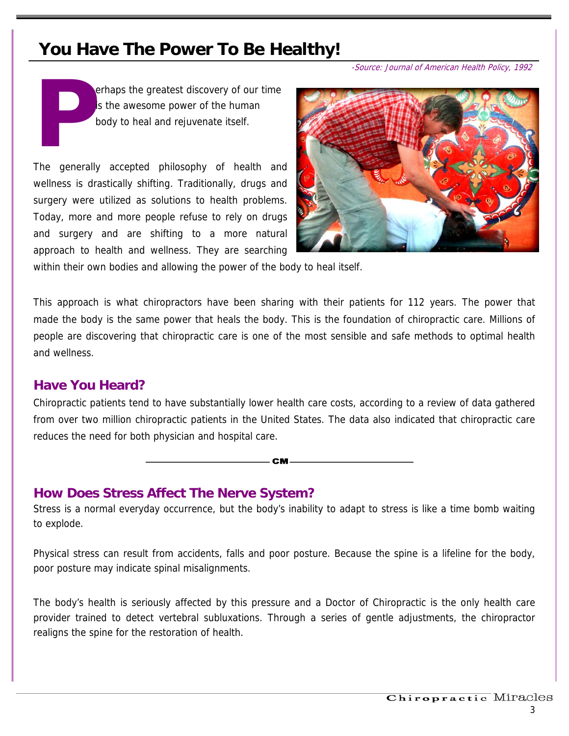## **You Have The Power To Be Healthy!**

-Source: Journal of American Health Policy, 1992

**P** erhaps the greatest discovery of our time is the awesome power of the human body to heal and rejuvenate itself.

The generally accepted philosophy of health and wellness is drastically shifting. Traditionally, drugs and surgery were utilized as solutions to health problems. Today, more and more people refuse to rely on drugs and surgery and are shifting to a more natural approach to health and wellness. They are searching



within their own bodies and allowing the power of the body to heal itself.

This approach is what chiropractors have been sharing with their patients for 112 years. The power that made the body is the same power that heals the body. This is the foundation of chiropractic care. Millions of people are discovering that chiropractic care is one of the most sensible and safe methods to optimal health and wellness.

### **Have You Heard?**

Chiropractic patients tend to have substantially lower health care costs, according to a review of data gathered from over two million chiropractic patients in the United States. The data also indicated that chiropractic care reduces the need for both physician and hospital care.

**CM** 

### **How Does Stress Affect The Nerve System?**

Stress is a normal everyday occurrence, but the body's inability to adapt to stress is like a time bomb waiting to explode.

Physical stress can result from accidents, falls and poor posture. Because the spine is a lifeline for the body, poor posture may indicate spinal misalignments.

The body's health is seriously affected by this pressure and a Doctor of Chiropractic is the only health care provider trained to detect vertebral subluxations. Through a series of gentle adjustments, the chiropractor realigns the spine for the restoration of health.